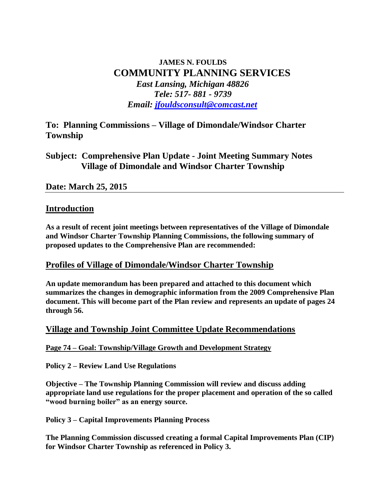# **JAMES N. FOULDS COMMUNITY PLANNING SERVICES**  *East Lansing, Michigan 48826 Tele: 517- 881 - 9739 Email: [jfouldsconsult@comcast.net](mailto:jfouldsconsult@comcast.net)*

**To: Planning Commissions – Village of Dimondale/Windsor Charter Township**

**Subject: Comprehensive Plan Update - Joint Meeting Summary Notes Village of Dimondale and Windsor Charter Township**

### **Date: March 25, 2015**

### **Introduction**

**As a result of recent joint meetings between representatives of the Village of Dimondale and Windsor Charter Township Planning Commissions, the following summary of proposed updates to the Comprehensive Plan are recommended:**

### **Profiles of Village of Dimondale/Windsor Charter Township**

**An update memorandum has been prepared and attached to this document which summarizes the changes in demographic information from the 2009 Comprehensive Plan document. This will become part of the Plan review and represents an update of pages 24 through 56.** 

### **Village and Township Joint Committee Update Recommendations**

### **Page 74 – Goal: Township/Village Growth and Development Strategy**

**Policy 2 – Review Land Use Regulations** 

**Objective – The Township Planning Commission will review and discuss adding appropriate land use regulations for the proper placement and operation of the so called "wood burning boiler" as an energy source.**

**Policy 3 – Capital Improvements Planning Process**

**The Planning Commission discussed creating a formal Capital Improvements Plan (CIP) for Windsor Charter Township as referenced in Policy 3.**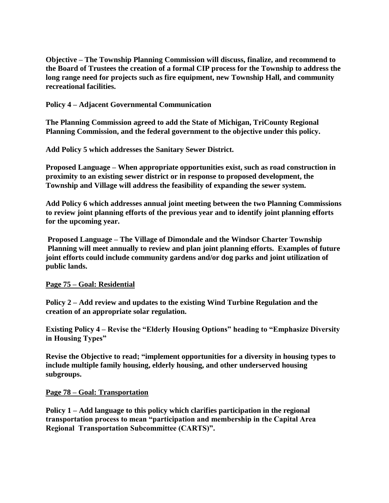**Objective – The Township Planning Commission will discuss, finalize, and recommend to the Board of Trustees the creation of a formal CIP process for the Township to address the long range need for projects such as fire equipment, new Township Hall, and community recreational facilities.**

**Policy 4 – Adjacent Governmental Communication**

**The Planning Commission agreed to add the State of Michigan, TriCounty Regional Planning Commission, and the federal government to the objective under this policy.**

**Add Policy 5 which addresses the Sanitary Sewer District.**

**Proposed Language – When appropriate opportunities exist, such as road construction in proximity to an existing sewer district or in response to proposed development, the Township and Village will address the feasibility of expanding the sewer system.**

**Add Policy 6 which addresses annual joint meeting between the two Planning Commissions to review joint planning efforts of the previous year and to identify joint planning efforts for the upcoming year.**

**Proposed Language – The Village of Dimondale and the Windsor Charter Township Planning will meet annually to review and plan joint planning efforts. Examples of future joint efforts could include community gardens and/or dog parks and joint utilization of public lands.**

#### **Page 75 – Goal: Residential**

**Policy 2 – Add review and updates to the existing Wind Turbine Regulation and the creation of an appropriate solar regulation.**

**Existing Policy 4 – Revise the "Elderly Housing Options" heading to "Emphasize Diversity in Housing Types"**

**Revise the Objective to read; "implement opportunities for a diversity in housing types to include multiple family housing, elderly housing, and other underserved housing subgroups.**

#### **Page 78 – Goal: Transportation**

**Policy 1 – Add language to this policy which clarifies participation in the regional transportation process to mean "participation and membership in the Capital Area Regional Transportation Subcommittee (CARTS)".**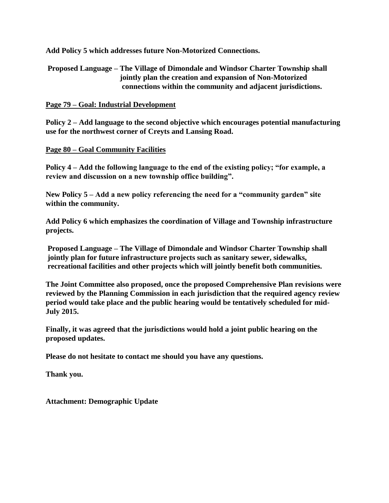**Add Policy 5 which addresses future Non-Motorized Connections.**

**Proposed Language – The Village of Dimondale and Windsor Charter Township shall jointly plan the creation and expansion of Non-Motorized connections within the community and adjacent jurisdictions.**

#### **Page 79 – Goal: Industrial Development**

**Policy 2 – Add language to the second objective which encourages potential manufacturing use for the northwest corner of Creyts and Lansing Road.**

#### **Page 80 – Goal Community Facilities**

**Policy 4 – Add the following language to the end of the existing policy; "for example, a review and discussion on a new township office building".**

**New Policy 5 – Add a new policy referencing the need for a "community garden" site within the community.**

**Add Policy 6 which emphasizes the coordination of Village and Township infrastructure projects.**

**Proposed Language – The Village of Dimondale and Windsor Charter Township shall jointly plan for future infrastructure projects such as sanitary sewer, sidewalks, recreational facilities and other projects which will jointly benefit both communities.**

**The Joint Committee also proposed, once the proposed Comprehensive Plan revisions were reviewed by the Planning Commission in each jurisdiction that the required agency review period would take place and the public hearing would be tentatively scheduled for mid-July 2015.** 

**Finally, it was agreed that the jurisdictions would hold a joint public hearing on the proposed updates.**

**Please do not hesitate to contact me should you have any questions.**

**Thank you.**

**Attachment: Demographic Update**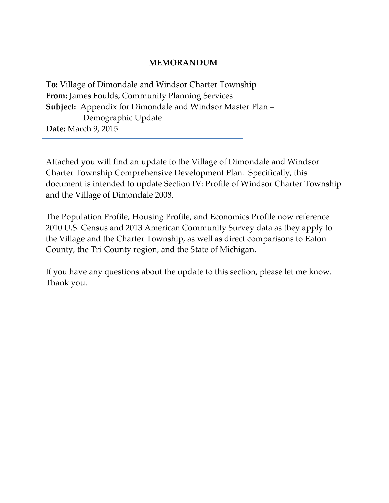## **MEMORANDUM**

**To:** Village of Dimondale and Windsor Charter Township **From:** James Foulds, Community Planning Services **Subject:** Appendix for Dimondale and Windsor Master Plan – Demographic Update **Date:** March 9, 2015

Attached you will find an update to the Village of Dimondale and Windsor Charter Township Comprehensive Development Plan. Specifically, this document is intended to update Section IV: Profile of Windsor Charter Township and the Village of Dimondale 2008.

The Population Profile, Housing Profile, and Economics Profile now reference 2010 U.S. Census and 2013 American Community Survey data as they apply to the Village and the Charter Township, as well as direct comparisons to Eaton County, the Tri-County region, and the State of Michigan.

If you have any questions about the update to this section, please let me know. Thank you.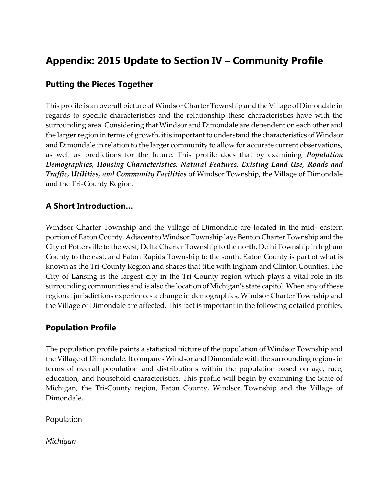# **Appendix: 2015 Update to Section IV – Community Profile**

# **Putting the Pieces Together**

This profile is an overall picture of Windsor Charter Township and the Village of Dimondale in regards to specific characteristics and the relationship these characteristics have with the surrounding area. Considering that Windsor and Dimondale are dependent on each other and the larger region in terms of growth, it is important to understand the characteristics of Windsor and Dimondale in relation to the larger community to allow for accurate current observations, as well as predictions for the future. This profile does that by examining *Population Demographics, Housing Characteristics, Natural Features, Existing Land Use, Roads and Traffic, Utilities, and Community Facilities* of Windsor Township, the Village of Dimondale and the Tri-County Region.

# **A Short Introduction…**

Windsor Charter Township and the Village of Dimondale are located in the mid- eastern portion of Eaton County. Adjacent to Windsor Township lays Benton Charter Township and the City of Potterville to the west, Delta Charter Township to the north, Delhi Township in Ingham County to the east, and Eaton Rapids Township to the south. Eaton County is part of what is known as the Tri-County Region and shares that title with Ingham and Clinton Counties. The City of Lansing is the largest city in the Tri-County region which plays a vital role in its surrounding communities and is also the location of Michigan's state capitol. When any of these regional jurisdictions experiences a change in demographics, Windsor Charter Township and the Village of Dimondale are affected. This fact is important in the following detailed profiles.

# **Population Profile**

The population profile paints a statistical picture of the population of Windsor Township and the Village of Dimondale. It compares Windsor and Dimondale with the surrounding regions in terms of overall population and distributions within the population based on age, race, education, and household characteristics. This profile will begin by examining the State of Michigan, the Tri-County region, Eaton County, Windsor Township and the Village of Dimondale.

**Population** 

*Michigan*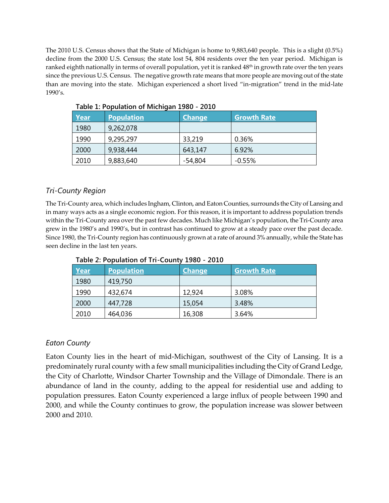The 2010 U.S. Census shows that the State of Michigan is home to 9,883,640 people. This is a slight (0.5%) decline from the 2000 U.S. Census; the state lost 54, 804 residents over the ten year period. Michigan is ranked eighth nationally in terms of overall population, yet it is ranked 48<sup>th</sup> in growth rate over the ten years since the previous U.S. Census. The negative growth rate means that more people are moving out of the state than are moving into the state. Michigan experienced a short lived "in-migration" trend in the mid-late 1990's.

| . apic 1. . opaiation of michigan 1990 |                   |               |                    |  |  |  |
|----------------------------------------|-------------------|---------------|--------------------|--|--|--|
| Year                                   | <b>Population</b> | <b>Change</b> | <b>Growth Rate</b> |  |  |  |
| 1980                                   | 9,262,078         |               |                    |  |  |  |
| 1990                                   | 9,295,297         | 33,219        | 0.36%              |  |  |  |
| 2000                                   | 9,938,444         | 643,147       | 6.92%              |  |  |  |
| 2010                                   | 9,883,640         | -54,804       | $-0.55%$           |  |  |  |

**Table 1: Population of Michigan 1980 - 2010**

## *Tri-County Region*

The Tri-County area, which includes Ingham, Clinton, and Eaton Counties, surrounds the City of Lansing and in many ways acts as a single economic region. For this reason, it is important to address population trends within the Tri-County area over the past few decades. Much like Michigan's population, the Tri-County area grew in the 1980's and 1990's, but in contrast has continued to grow at a steady pace over the past decade. Since 1980, the Tri-County region has continuously grown at a rate of around 3% annually, while the State has seen decline in the last ten years.

| <b>Year</b> | <b>Population</b> | Change | <b>Growth Rate</b> |
|-------------|-------------------|--------|--------------------|
| 1980        | 419,750           |        |                    |
| 1990        | 432,674           | 12,924 | 3.08%              |
| 2000        | 447,728           | 15,054 | 3.48%              |
| 2010        | 464,036           | 16,308 | 3.64%              |

**Table 2: Population of Tri-County 1980 - 2010**

### *Eaton County*

Eaton County lies in the heart of mid-Michigan, southwest of the City of Lansing. It is a predominately rural county with a few small municipalities including the City of Grand Ledge, the City of Charlotte, Windsor Charter Township and the Village of Dimondale. There is an abundance of land in the county, adding to the appeal for residential use and adding to population pressures. Eaton County experienced a large influx of people between 1990 and 2000, and while the County continues to grow, the population increase was slower between 2000 and 2010.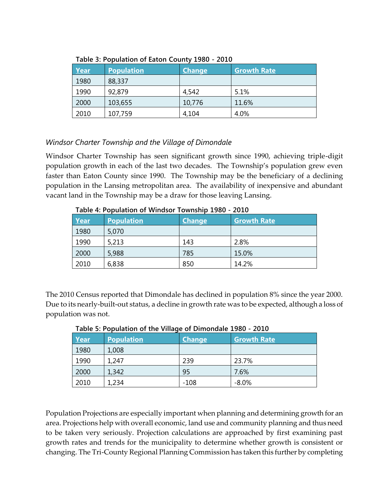|      | TUDIC 9. I ODUNIUM OT LUMON COUNTY 1900 |               |                    |  |  |  |  |
|------|-----------------------------------------|---------------|--------------------|--|--|--|--|
| Year | <b>Population</b>                       | <b>Change</b> | <b>Growth Rate</b> |  |  |  |  |
| 1980 | 88,337                                  |               |                    |  |  |  |  |
| 1990 | 92,879                                  | 4,542         | 5.1%               |  |  |  |  |
| 2000 | 103,655                                 | 10,776        | 11.6%              |  |  |  |  |
| 2010 | 107,759                                 | 4,104         | 4.0%               |  |  |  |  |

**Table 3: Population of Eaton County 1980 - 2010**

## *Windsor Charter Township and the Village of Dimondale*

Windsor Charter Township has seen significant growth since 1990, achieving triple-digit population growth in each of the last two decades. The Township's population grew even faster than Eaton County since 1990. The Township may be the beneficiary of a declining population in the Lansing metropolitan area. The availability of inexpensive and abundant vacant land in the Township may be a draw for those leaving Lansing.

| Table 4: Population of Windsor Township 1980 - 2010 |                   |               |                    |  |  |
|-----------------------------------------------------|-------------------|---------------|--------------------|--|--|
| <u>Year</u>                                         | <b>Population</b> | <b>Change</b> | <b>Growth Rate</b> |  |  |
| 1980                                                | 5,070             |               |                    |  |  |
| 1990                                                | 5,213             | 143           | 2.8%               |  |  |
| 2000                                                | 5,988             | 785           | 15.0%              |  |  |
| 2010                                                | 6,838             | 850           | 14.2%              |  |  |

**Table 4: Population of Windsor Township 1980 - 2010**

The 2010 Census reported that Dimondale has declined in population 8% since the year 2000. Due to its nearly-built-out status, a decline in growth rate was to be expected, although a loss of population was not.

| Table 5. I Opulation Of the Village Of Dimondale 1900 - 2010 |             |                   |               |                    |  |
|--------------------------------------------------------------|-------------|-------------------|---------------|--------------------|--|
|                                                              | <u>Year</u> | <b>Population</b> | <b>Change</b> | <b>Growth Rate</b> |  |
|                                                              | 1980        | 1,008             |               |                    |  |
|                                                              | 1990        | 1,247             | 239           | 23.7%              |  |
|                                                              | 2000        | 1,342             | 95            | 7.6%               |  |
|                                                              | 2010        | 1,234             | $-108$        | $-8.0\%$           |  |

**Table 5: Population of the Village of Dimondale 1980 - 2010**

Population Projections are especially important when planning and determining growth for an area. Projections help with overall economic, land use and community planning and thus need to be taken very seriously. Projection calculations are approached by first examining past growth rates and trends for the municipality to determine whether growth is consistent or changing. The Tri-County Regional Planning Commission has taken this further by completing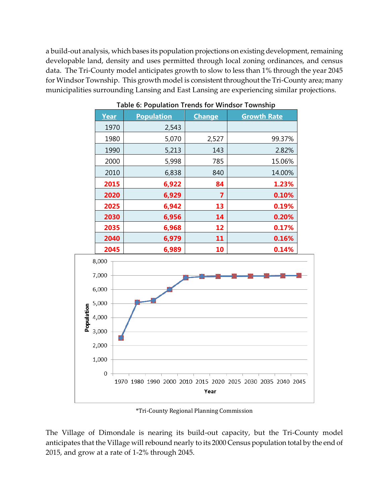a build-out analysis, which bases its population projections on existing development, remaining developable land, density and uses permitted through local zoning ordinances, and census data. The Tri-County model anticipates growth to slow to less than 1% through the year 2045 for Windsor Township. This growth model is consistent throughout the Tri-County area; many municipalities surrounding Lansing and East Lansing are experiencing similar projections.

| Year   | <b>Population</b> | <b>Change</b> | <b>Growth Rate</b> |  |  |
|--------|-------------------|---------------|--------------------|--|--|
| 1970   | 2,543             |               |                    |  |  |
| 1980   | 5,070             | 2,527         | 99.37%             |  |  |
| 1990   | 5,213             | 143           | 2.82%              |  |  |
| 2000   | 5,998             | 785           | 15.06%             |  |  |
| 2010   | 6,838             | 840           | 14.00%             |  |  |
| 2015   | 6,922             | 84            | 1.23%              |  |  |
| 2020   | 6,929             | 7             | 0.10%              |  |  |
| 2025   | 6,942             | 13            | 0.19%              |  |  |
| 2030   | 6,956             | 14            | 0.20%              |  |  |
| 2035   | 6,968             | 12            | 0.17%              |  |  |
| 2040   | 6,979             | 11            | 0.16%              |  |  |
| 30 A F | C. OOO            | <b>10</b>     | 0.101              |  |  |

**Table 6: Population Trends for Windsor Township**



\*Tri-County Regional Planning Commission

The Village of Dimondale is nearing its build-out capacity, but the Tri-County model anticipates that the Village will rebound nearly to its 2000 Census population total by the end of 2015, and grow at a rate of 1-2% through 2045.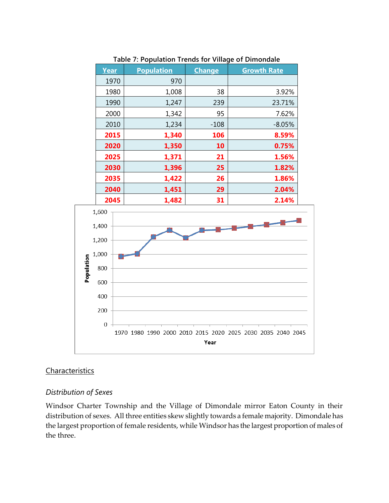| Table 7: Population Trends for Village of Dimondale |                   |               |                    |  |  |  |  |
|-----------------------------------------------------|-------------------|---------------|--------------------|--|--|--|--|
| Year                                                | <b>Population</b> | <b>Change</b> | <b>Growth Rate</b> |  |  |  |  |
| 1970                                                | 970               |               |                    |  |  |  |  |
| 1980                                                | 1,008             | 38            | 3.92%              |  |  |  |  |
| 1990                                                | 1,247             | 239           | 23.71%             |  |  |  |  |
| 2000                                                | 1,342             | 95            | 7.62%              |  |  |  |  |
| 2010                                                | 1,234             | $-108$        | $-8.05%$           |  |  |  |  |
| 2015                                                | 1,340             | 106           | 8.59%              |  |  |  |  |
| 2020                                                | 1,350             | 10            | 0.75%              |  |  |  |  |
| 2025                                                | 1,371             | 21            | 1.56%              |  |  |  |  |
| 2030                                                | 1,396             | 25            | 1.82%              |  |  |  |  |
| 2035                                                | 1,422             | 26            | 1.86%              |  |  |  |  |
| 2040                                                | 1,451             | 29            | 2.04%              |  |  |  |  |
| ----                                                | - ---             | --            | $-1.01$            |  |  |  |  |

#### **Table 7: Population Trends for Village of Dimondale**



### **Characteristics**

### *Distribution of Sexes*

Windsor Charter Township and the Village of Dimondale mirror Eaton County in their distribution of sexes. All three entities skew slightly towards a female majority. Dimondale has the largest proportion of female residents, while Windsor has the largest proportion of males of the three.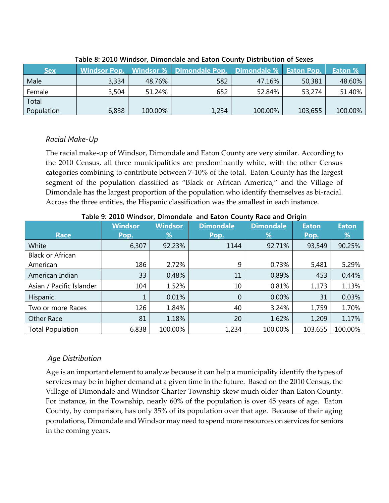| <b>Sex</b> |       |         | Windsor Pop. Windsor % Dimondale Pop. Dimondale % Eaton Pop. |         |         | Eaton % |  |
|------------|-------|---------|--------------------------------------------------------------|---------|---------|---------|--|
| Male       | 3,334 | 48.76%  | 582                                                          | 47.16%  | 50,381  | 48.60%  |  |
| Female     | 3,504 | 51.24%  | 652                                                          | 52.84%  | 53,274  | 51.40%  |  |
| Total      |       |         |                                                              |         |         |         |  |
| Population | 6,838 | 100.00% | 1,234                                                        | 100.00% | 103,655 | 100.00% |  |

#### **Table 8: 2010 Windsor, Dimondale and Eaton County Distribution of Sexes**

### *Racial Make-Up*

The racial make-up of Windsor, Dimondale and Eaton County are very similar. According to the 2010 Census, all three municipalities are predominantly white, with the other Census categories combining to contribute between 7-10% of the total. Eaton County has the largest segment of the population classified as "Black or African America," and the Village of Dimondale has the largest proportion of the population who identify themselves as bi-racial. Across the three entities, the Hispanic classification was the smallest in each instance.

|                          | <b>Windsor</b> | <b>Windsor</b> | <b>Dimondale</b> | <b>Dimondale</b> | <b>Eaton</b> | <b>Eaton</b>  |
|--------------------------|----------------|----------------|------------------|------------------|--------------|---------------|
| <b>Race</b>              | Pop.           | <u>%</u>       | Pop.             | <u>%</u>         | Pop.         | $\frac{9}{6}$ |
| White                    | 6,307          | 92.23%         | 1144             | 92.71%           | 93,549       | 90.25%        |
| <b>Black or African</b>  |                |                |                  |                  |              |               |
| American                 | 186            | 2.72%          | 9                | 0.73%            | 5,481        | 5.29%         |
| American Indian          | 33             | 0.48%          | 11               | 0.89%            | 453          | 0.44%         |
| Asian / Pacific Islander | 104            | 1.52%          | 10               | 0.81%            | 1,173        | 1.13%         |
| Hispanic                 | 1              | 0.01%          | 0                | 0.00%            | 31           | 0.03%         |
| Two or more Races        | 126            | 1.84%          | 40               | 3.24%            | 1,759        | 1.70%         |
| <b>Other Race</b>        | 81             | 1.18%          | 20               | 1.62%            | 1,209        | 1.17%         |
| <b>Total Population</b>  | 6,838          | 100.00%        | 1,234            | 100.00%          | 103,655      | 100.00%       |

#### **Table 9: 2010 Windsor, Dimondale and Eaton County Race and Origin**

### *Age Distribution*

Age is an important element to analyze because it can help a municipality identify the types of services may be in higher demand at a given time in the future. Based on the 2010 Census, the Village of Dimondale and Windsor Charter Township skew much older than Eaton County. For instance, in the Township, nearly 60% of the population is over 45 years of age. Eaton County, by comparison, has only 35% of its population over that age. Because of their aging populations, Dimondale and Windsor may need to spend more resources on services for seniors in the coming years.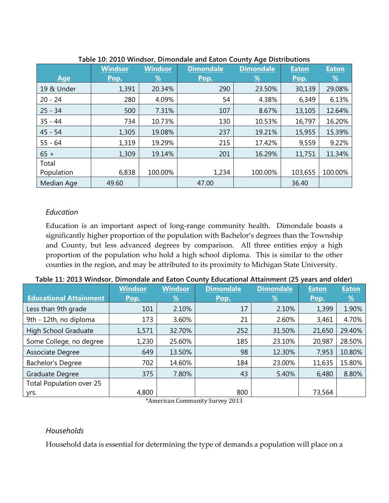| - פי       |                |                |                  |                  |              |              |  |
|------------|----------------|----------------|------------------|------------------|--------------|--------------|--|
|            | <b>Windsor</b> | <b>Windsor</b> | <b>Dimondale</b> | <b>Dimondale</b> | <b>Eaton</b> | <b>Eaton</b> |  |
| <b>Age</b> | Pop.           | $\frac{9}{6}$  | Pop.             | $\frac{9}{6}$    | Pop.         | <u>%</u>     |  |
| 19 & Under | 1,391          | 20.34%         | 290              | 23.50%           | 30,139       | 29.08%       |  |
| $20 - 24$  | 280            | 4.09%          | 54               | 4.38%            | 6,349        | 6.13%        |  |
| $25 - 34$  | 500            | 7.31%          | 107              | 8.67%            | 13,105       | 12.64%       |  |
| $35 - 44$  | 734            | 10.73%         | 130              | 10.53%           | 16,797       | 16.20%       |  |
| $45 - 54$  | 1,305          | 19.08%         | 237              | 19.21%           | 15,955       | 15.39%       |  |
| $55 - 64$  | 1,319          | 19.29%         | 215              | 17.42%           | 9,559        | 9.22%        |  |
| $65 +$     | 1,309          | 19.14%         | 201              | 16.29%           | 11,751       | 11.34%       |  |
| Total      |                |                |                  |                  |              |              |  |
| Population | 6,838          | 100.00%        | 1,234            | 100.00%          | 103,655      | 100.00%      |  |
| Median Age | 49.60          |                | 47.00            |                  | 36.40        |              |  |

#### **Table 10: 2010 Windsor, Dimondale and Eaton County Age Distributions**

### *Education*

Education is an important aspect of long-range community health. Dimondale boasts a significantly higher proportion of the population with Bachelor's degrees than the Township and County, but less advanced degrees by comparison. All three entities enjoy a high proportion of the population who hold a high school diploma. This is similar to the other counties in the region, and may be attributed to its proximity to Michigan State University.

|                                 | <b>Windsor</b> | <b>Windsor</b> | <b>Dimondale</b> | <b>Dimondale</b> | <b>Eaton</b> | <b>Eaton</b>  |
|---------------------------------|----------------|----------------|------------------|------------------|--------------|---------------|
| <b>Educational Attainment</b>   | Pop.           | $\frac{96}{6}$ | Pop.             | <u>%</u>         | Pop.         | $\frac{9}{6}$ |
| Less than 9th grade             | 101            | 2.10%          | 17               | 2.10%            | 1,399        | 1.90%         |
| 9th - 12th, no diploma          | 173            | 3.60%          | 21               | 2.60%            | 3,461        | 4.70%         |
| High School Graduate            | 1,571          | 32.70%         | 252              | 31.50%           | 21,650       | 29.40%        |
| Some College, no degree         | 1,230          | 25.60%         | 185              | 23.10%           | 20,987       | 28.50%        |
| Associate Degree                | 649            | 13.50%         | 98               | 12.30%           | 7,953        | 10.80%        |
| Bachelor's Degree               | 702            | 14.60%         | 184              | 23.00%           | 11,635       | 15.80%        |
| Graduate Degree                 | 375            | 7.80%          | 43               | 5.40%            | 6,480        | 8.80%         |
| <b>Total Population over 25</b> |                |                |                  |                  |              |               |
| yrs.                            | 4,800          |                | 800              |                  | 73,564       |               |

#### **Table 11: 2013 Windsor, Dimondale and Eaton County Educational Attainment (25 years and older)**

\*American Community Survey 2013

### *Households*

Household data is essential for determining the type of demands a population will place on a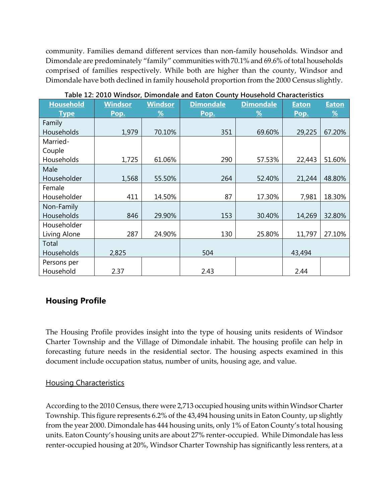community. Families demand different services than non-family households. Windsor and Dimondale are predominately "family" communities with 70.1% and 69.6% of total households comprised of families respectively. While both are higher than the county, Windsor and Dimondale have both declined in family household proportion from the 2000 Census slightly.

| <b>Household</b> | <b>Windsor</b> | <b>Windsor</b> | <b>Dimondale</b> | <b>Dimondale</b> | <b>Eaton</b> | <b>Eaton</b>  |
|------------------|----------------|----------------|------------------|------------------|--------------|---------------|
| <b>Type</b>      | Pop.           | $\frac{9}{6}$  | Pop.             | $\frac{9}{6}$    | Pop.         | $\frac{9}{6}$ |
| Family           |                |                |                  |                  |              |               |
| Households       | 1,979          | 70.10%         | 351              | 69.60%           | 29,225       | 67.20%        |
| Married-         |                |                |                  |                  |              |               |
| Couple           |                |                |                  |                  |              |               |
| Households       | 1,725          | 61.06%         | 290              | 57.53%           | 22,443       | 51.60%        |
| Male             |                |                |                  |                  |              |               |
| Householder      | 1,568          | 55.50%         | 264              | 52.40%           | 21,244       | 48.80%        |
| Female           |                |                |                  |                  |              |               |
| Householder      | 411            | 14.50%         | 87               | 17.30%           | 7,981        | 18.30%        |
| Non-Family       |                |                |                  |                  |              |               |
| Households       | 846            | 29.90%         | 153              | 30.40%           | 14,269       | 32.80%        |
| Householder      |                |                |                  |                  |              |               |
| Living Alone     | 287            | 24.90%         | 130              | 25.80%           | 11,797       | 27.10%        |
| Total            |                |                |                  |                  |              |               |
| Households       | 2,825          |                | 504              |                  | 43,494       |               |
| Persons per      |                |                |                  |                  |              |               |
| Household        | 2.37           |                | 2.43             |                  | 2.44         |               |

**Table 12: 2010 Windsor, Dimondale and Eaton County Household Characteristics**

# **Housing Profile**

The Housing Profile provides insight into the type of housing units residents of Windsor Charter Township and the Village of Dimondale inhabit. The housing profile can help in forecasting future needs in the residential sector. The housing aspects examined in this document include occupation status, number of units, housing age, and value.

### Housing Characteristics

According to the 2010 Census, there were 2,713 occupied housing units within Windsor Charter Township. This figure represents 6.2% of the 43,494 housing units in Eaton County, up slightly from the year 2000. Dimondale has 444 housing units, only 1% of Eaton County's total housing units. Eaton County's housing units are about 27% renter-occupied. While Dimondale has less renter-occupied housing at 20%, Windsor Charter Township has significantly less renters, at a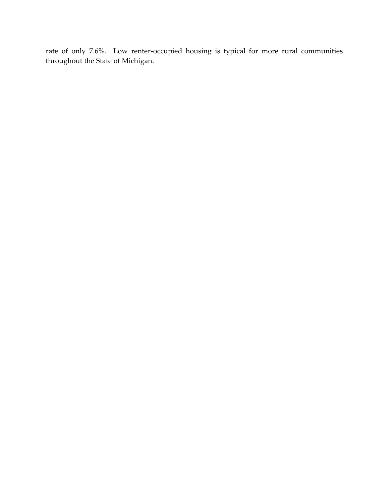rate of only 7.6%. Low renter-occupied housing is typical for more rural communities throughout the State of Michigan.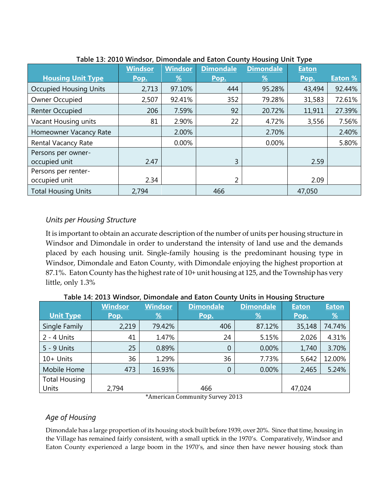| rable 15. 2010 Windsor, Dimondale and Eaton County Housing Onit Type |                |                |                  |                  |              |                |  |
|----------------------------------------------------------------------|----------------|----------------|------------------|------------------|--------------|----------------|--|
|                                                                      | <b>Windsor</b> | <b>Windsor</b> | <b>Dimondale</b> | <b>Dimondale</b> | <b>Eaton</b> |                |  |
| <b>Housing Unit Type</b>                                             | Pop.           | <u>%</u>       | Pop.             | <u>%</u>         | Pop.         | <b>Eaton %</b> |  |
| <b>Occupied Housing Units</b>                                        | 2,713          | 97.10%         | 444              | 95.28%           | 43,494       | 92.44%         |  |
| Owner Occupied                                                       | 2,507          | 92.41%         | 352              | 79.28%           | 31,583       | 72.61%         |  |
| <b>Renter Occupied</b>                                               | 206            | 7.59%          | 92               | 20.72%           | 11,911       | 27.39%         |  |
| Vacant Housing units                                                 | 81             | 2.90%          | 22               | 4.72%            | 3,556        | 7.56%          |  |
| Homeowner Vacancy Rate                                               |                | 2.00%          |                  | 2.70%            |              | 2.40%          |  |
| Rental Vacancy Rate                                                  |                | 0.00%          |                  | 0.00%            |              | 5.80%          |  |
| Persons per owner-                                                   |                |                |                  |                  |              |                |  |
| occupied unit                                                        | 2.47           |                | 3                |                  | 2.59         |                |  |
| Persons per renter-                                                  |                |                |                  |                  |              |                |  |
| occupied unit                                                        | 2.34           |                | 2                |                  | 2.09         |                |  |
| <b>Total Housing Units</b>                                           | 2,794          |                | 466              |                  | 47,050       |                |  |

### **Table 13: 2010 Windsor, Dimondale and Eaton County Housing Unit Type**

### *Units per Housing Structure*

It is important to obtain an accurate description of the number of units per housing structure in Windsor and Dimondale in order to understand the intensity of land use and the demands placed by each housing unit. Single-family housing is the predominant housing type in Windsor, Dimondale and Eaton County, with Dimondale enjoying the highest proportion at 87.1%. Eaton County has the highest rate of 10+ unit housing at 125, and the Township has very little, only 1.3%

|                      | <b>Windsor</b> | <b>Windsor</b> | <b>Dimondale</b> | <b>Dimondale</b> | <b>Eaton</b> | <b>Eaton</b>  |
|----------------------|----------------|----------------|------------------|------------------|--------------|---------------|
| <b>Unit Type</b>     | Pop.           | $\frac{9}{6}$  | Pop.             | $\frac{9}{6}$    | Pop.         | $\frac{9}{6}$ |
| Single Family        | 2,219          | 79.42%         | 406              | 87.12%           | 35,148       | 74.74%        |
| $2 - 4$ Units        | 41             | 1.47%          | 24               | 5.15%            | 2,026        | 4.31%         |
| 5 - 9 Units          | 25             | 0.89%          | $\theta$         | 0.00%            | 1,740        | 3.70%         |
| $10+$ Units          | 36             | 1.29%          | 36               | 7.73%            | 5,642        | 12.00%        |
| Mobile Home          | 473            | 16.93%         | $\overline{0}$   | 0.00%            | 2,465        | 5.24%         |
| <b>Total Housing</b> |                |                |                  |                  |              |               |
| Units                | 2,794          |                | 466              |                  | 47,024       |               |

**Table 14: 2013 Windsor, Dimondale and Eaton County Units in Housing Structure**

\*American Community Survey 2013

### *Age of Housing*

Dimondale has a large proportion of its housing stock built before 1939, over 20%. Since that time, housing in the Village has remained fairly consistent, with a small uptick in the 1970's. Comparatively, Windsor and Eaton County experienced a large boom in the 1970's, and since then have newer housing stock than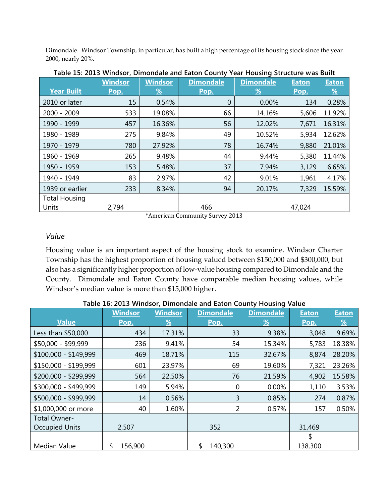Dimondale. Windsor Township, in particular, has built a high percentage of its housing stock since the year 2000, nearly 20%.

|                      | <b>Windsor</b> | <b>Windsor</b> | <b>Dimondale</b> | <b>Dimondale</b> | <b>Eaton</b> | <b>Eaton</b> |
|----------------------|----------------|----------------|------------------|------------------|--------------|--------------|
| <b>Year Built</b>    | Pop.           | $\frac{9}{6}$  | Pop.             | $\frac{9}{6}$    | Pop.         | <u>%</u>     |
| 2010 or later        | 15             | 0.54%          | $\overline{0}$   | 0.00%            | 134          | 0.28%        |
| 2000 - 2009          | 533            | 19.08%         | 66               | 14.16%           | 5,606        | 11.92%       |
| 1990 - 1999          | 457            | 16.36%         | 56               | 12.02%           | 7,671        | 16.31%       |
| 1980 - 1989          | 275            | 9.84%          | 49               | 10.52%           | 5,934        | 12.62%       |
| 1970 - 1979          | 780            | 27.92%         | 78               | 16.74%           | 9,880        | 21.01%       |
| 1960 - 1969          | 265            | 9.48%          | 44               | 9.44%            | 5,380        | 11.44%       |
| 1950 - 1959          | 153            | 5.48%          | 37               | 7.94%            | 3,129        | 6.65%        |
| 1940 - 1949          | 83             | 2.97%          | 42               | 9.01%            | 1,961        | 4.17%        |
| 1939 or earlier      | 233            | 8.34%          | 94               | 20.17%           | 7,329        | 15.59%       |
| <b>Total Housing</b> |                |                |                  |                  |              |              |
| Units                | 2,794          |                | 466              |                  | 47,024       |              |

**Table 15: 2013 Windsor, Dimondale and Eaton County Year Housing Structure was Built**

\*American Community Survey 2013

### *Value*

Housing value is an important aspect of the housing stock to examine. Windsor Charter Township has the highest proportion of housing valued between \$150,000 and \$300,000, but also has a significantly higher proportion of low-value housing compared to Dimondale and the County. Dimondale and Eaton County have comparable median housing values, while Windsor's median value is more than \$15,000 higher.

|                       | <b>Windsor</b> | <b>Windsor</b> | <b>Dimondale</b> | <b>Dimondale</b> | <b>Eaton</b> | <b>Eaton</b> |
|-----------------------|----------------|----------------|------------------|------------------|--------------|--------------|
| <b>Value</b>          | Pop.           | <u>%</u>       | Pop.             | <u>%</u>         | Pop.         | <u>%</u>     |
| Less than \$50,000    | 434            | 17.31%         | 33               | 9.38%            | 3,048        | 9.69%        |
| \$50,000 - \$99,999   | 236            | 9.41%          | 54               | 15.34%           | 5,783        | 18.38%       |
| \$100,000 - \$149,999 | 469            | 18.71%         | 115              | 32.67%           | 8,874        | 28.20%       |
| \$150,000 - \$199,999 | 601            | 23.97%         | 69               | 19.60%           | 7,321        | 23.26%       |
| \$200,000 - \$299,999 | 564            | 22.50%         | 76               | 21.59%           | 4,902        | 15.58%       |
| \$300,000 - \$499,999 | 149            | 5.94%          | 0                | 0.00%            | 1,110        | 3.53%        |
| \$500,000 - \$999,999 | 14             | 0.56%          | 3                | 0.85%            | 274          | 0.87%        |
| \$1,000,000 or more   | 40             | 1.60%          | 2                | 0.57%            | 157          | 0.50%        |
| Total Owner-          |                |                |                  |                  |              |              |
| <b>Occupied Units</b> | 2,507          |                | 352              |                  | 31,469       |              |
|                       |                |                |                  |                  | \$           |              |
| Median Value          | \$<br>156,900  |                | \$<br>140,300    |                  | 138,300      |              |

**Table 16: 2013 Windsor, Dimondale and Eaton County Housing Value**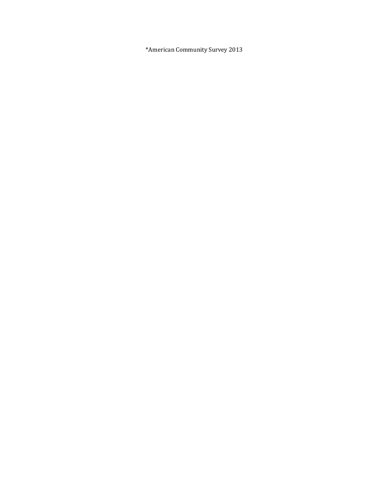\*American Community Survey 2013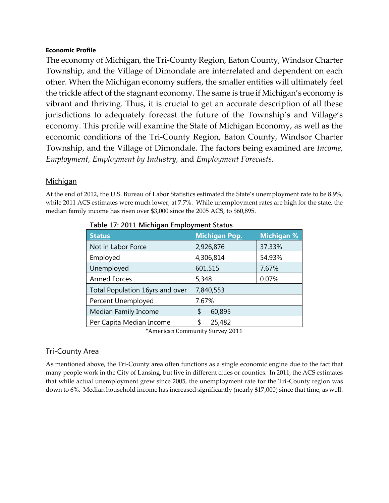#### **Economic Profile**

The economy of Michigan, the Tri-County Region, Eaton County, Windsor Charter Township, and the Village of Dimondale are interrelated and dependent on each other. When the Michigan economy suffers, the smaller entities will ultimately feel the trickle affect of the stagnant economy. The same is true if Michigan's economy is vibrant and thriving. Thus, it is crucial to get an accurate description of all these jurisdictions to adequately forecast the future of the Township's and Village's economy. This profile will examine the State of Michigan Economy, as well as the economic conditions of the Tri-County Region, Eaton County, Windsor Charter Township, and the Village of Dimondale. The factors being examined are *Income, Employment, Employment by Industry,* and *Employment Forecasts.*

### **Michigan**

At the end of 2012, the U.S. Bureau of Labor Statistics estimated the State's unemployment rate to be 8.9%, while 2011 ACS estimates were much lower, at 7.7%. While unemployment rates are high for the state, the median family income has risen over \$3,000 since the 2005 ACS, to \$60,895.

| <b>Status</b>                   | <b>Michigan Pop.</b> | <b>Michigan %</b> |
|---------------------------------|----------------------|-------------------|
| Not in Labor Force              | 2,926,876            | 37.33%            |
| Employed                        | 4,306,814            | 54.93%            |
| Unemployed                      | 601,515              | 7.67%             |
| <b>Armed Forces</b>             | 5,348                | 0.07%             |
| Total Population 16yrs and over | 7,840,553            |                   |
| Percent Unemployed              | 7.67%                |                   |
| Median Family Income            | 60,895<br>\$         |                   |
| Per Capita Median Income        | 25,482<br>\$         |                   |

| Table 17: 2011 Michigan Employment Status |  |  |
|-------------------------------------------|--|--|
|                                           |  |  |

\*American Community Survey 2011

### Tri-County Area

As mentioned above, the Tri-County area often functions as a single economic engine due to the fact that many people work in the City of Lansing, but live in different cities or counties. In 2011, the ACS estimates that while actual unemployment grew since 2005, the unemployment rate for the Tri-County region was down to 6%. Median household income has increased significantly (nearly \$17,000) since that time, as well.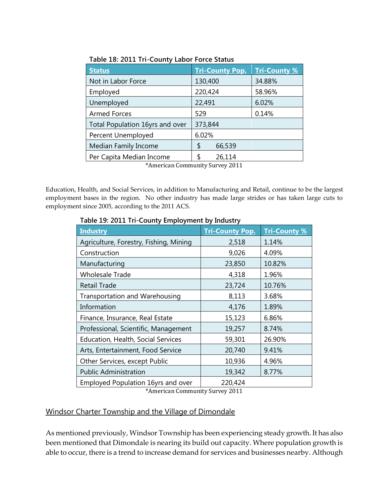| <b>Status</b>                   | <b>Tri-County Pop.</b> | <b>Tri-County %</b> |
|---------------------------------|------------------------|---------------------|
| Not in Labor Force              | 130,400                | 34.88%              |
| Employed                        | 220,424                | 58.96%              |
| Unemployed                      | 22,491                 | 6.02%               |
| <b>Armed Forces</b>             | 529                    | 0.14%               |
| Total Population 16yrs and over | 373,844                |                     |
| Percent Unemployed              | 6.02%                  |                     |
| Median Family Income            | 66,539<br>\$           |                     |
| Per Capita Median Income        | 26,114<br>Я            |                     |

|  |  | Table 18: 2011 Tri-County Labor Force Status |  |  |
|--|--|----------------------------------------------|--|--|
|  |  |                                              |  |  |

\*American Community Survey 2011

Education, Health, and Social Services, in addition to Manufacturing and Retail, continue to be the largest employment bases in the region. No other industry has made large strides or has taken large cuts to employment since 2005, according to the 2011 ACS.

| <b>Industry</b>                           | <b>Tri-County Pop.</b> | <b>Tri-County %</b> |
|-------------------------------------------|------------------------|---------------------|
| Agriculture, Forestry, Fishing, Mining    | 2,518                  | 1.14%               |
| Construction                              | 9,026                  | 4.09%               |
| Manufacturing                             | 23,850                 | 10.82%              |
| <b>Wholesale Trade</b>                    | 4,318                  | 1.96%               |
| <b>Retail Trade</b>                       | 23,724                 | 10.76%              |
| Transportation and Warehousing            | 8,113                  | 3.68%               |
| Information                               | 4,176                  | 1.89%               |
| Finance, Insurance, Real Estate           | 15,123                 | 6.86%               |
| Professional, Scientific, Management      | 19,257                 | 8.74%               |
| <b>Education, Health, Social Services</b> | 59,301                 | 26.90%              |
| Arts, Entertainment, Food Service         | 20,740                 | 9.41%               |
| Other Services, except Public             | 10,936                 | 4.96%               |
| <b>Public Administration</b>              | 19,342                 | 8.77%               |
| Employed Population 16yrs and over        | 220,424                |                     |

**Table 19: 2011 Tri-County Employment by Industry**

\*American Community Survey 2011

### Windsor Charter Township and the Village of Dimondale

As mentioned previously, Windsor Township has been experiencing steady growth. It has also been mentioned that Dimondale is nearing its build out capacity. Where population growth is able to occur, there is a trend to increase demand for services and businesses nearby. Although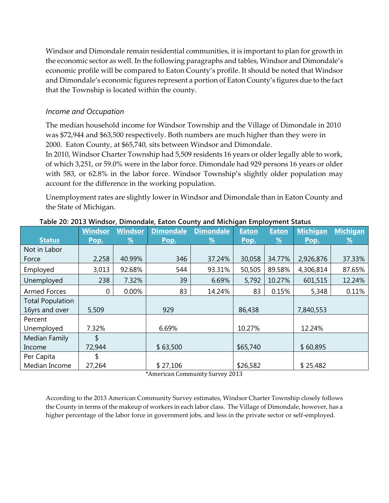Windsor and Dimondale remain residential communities, it is important to plan for growth in the economic sector as well. In the following paragraphs and tables, Windsor and Dimondale's economic profile will be compared to Eaton County's profile. It should be noted that Windsor and Dimondale's economic figures represent a portion of Eaton County's figures due to the fact that the Township is located within the county.

### *Income and Occupation*

The median household income for Windsor Township and the Village of Dimondale in 2010 was \$72,944 and \$63,500 respectively. Both numbers are much higher than they were in 2000. Eaton County, at \$65,740, sits between Windsor and Dimondale.

In 2010, Windsor Charter Township had 5,509 residents 16 years or older legally able to work, of which 3,251, or 59.0% were in the labor force. Dimondale had 929 persons 16 years or older with 583, or 62.8% in the labor force. Windsor Township's slightly older population may account for the difference in the working population.

Unemployment rates are slightly lower in Windsor and Dimondale than in Eaton County and the State of Michigan.

|                         | <b>Windsor</b> | <b>Windsor</b> | <b>Dimondale</b> | <b>Dimondale</b> | <b>Eaton</b> | <b>Eaton</b> | <b>Michigan</b> | <b>Michigan</b>       |
|-------------------------|----------------|----------------|------------------|------------------|--------------|--------------|-----------------|-----------------------|
| <b>Status</b>           | Pop.           | <u>%</u>       | Pop.             | $\frac{9}{6}$    | Pop.         | <u>%</u>     | Pop.            | $\frac{\%}{\sqrt{2}}$ |
| Not in Labor            |                |                |                  |                  |              |              |                 |                       |
| Force                   | 2,258          | 40.99%         | 346              | 37.24%           | 30,058       | 34.77%       | 2,926,876       | 37.33%                |
| Employed                | 3,013          | 92.68%         | 544              | 93.31%           | 50,505       | 89.58%       | 4,306,814       | 87.65%                |
| Unemployed              | 238            | 7.32%          | 39               | 6.69%            | 5,792        | 10.27%       | 601,515         | 12.24%                |
| <b>Armed Forces</b>     | $\mathbf 0$    | 0.00%          | 83               | 14.24%           | 83           | 0.15%        | 5,348           | 0.11%                 |
| <b>Total Population</b> |                |                |                  |                  |              |              |                 |                       |
| 16yrs and over          | 5,509          |                | 929              |                  | 86,438       |              | 7,840,553       |                       |
| Percent                 |                |                |                  |                  |              |              |                 |                       |
| Unemployed              | 7.32%          |                | 6.69%            |                  | 10.27%       |              | 12.24%          |                       |
| Median Family           | \$             |                |                  |                  |              |              |                 |                       |
| Income                  | 72,944         |                | \$63,500         |                  | \$65,740     |              | \$60,895        |                       |
| Per Capita              | \$             |                |                  |                  |              |              |                 |                       |
| Median Income           | 27,264         |                | \$27,106         |                  | \$26,582     |              | \$25,482        |                       |

#### **Table 20: 2013 Windsor, Dimondale, Eaton County and Michigan Employment Status**

\*American Community Survey 2013

According to the 2013 American Community Survey estimates, Windsor Charter Township closely follows the County in terms of the makeup of workers in each labor class. The Village of Dimondale, however, has a higher percentage of the labor force in government jobs, and less in the private sector or self-employed.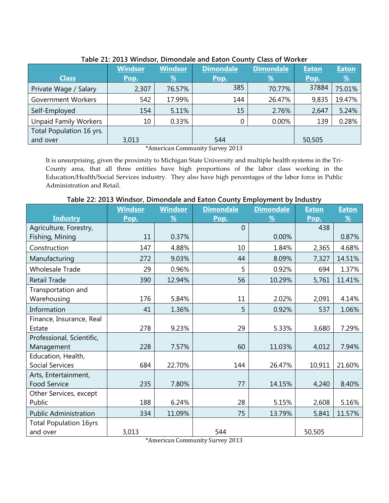|                              | <b>Windsor</b> | Windsor       | <b>Dimondale</b> | <b>Dimondale</b> | <b>Eaton</b> | <b>Eaton</b> |
|------------------------------|----------------|---------------|------------------|------------------|--------------|--------------|
| <b>Class</b>                 | Pop.           | $\frac{9}{6}$ | Pop.             | $\frac{9}{6}$    | Pop.         | <u>%</u>     |
| Private Wage / Salary        | 2,307          | 76.57%        | 385              | 70.77%           | 37884        | 75.01%       |
| <b>Government Workers</b>    | 542            | 17.99%        | 144              | 26.47%           | 9,835        | 19.47%       |
| Self-Employed                | 154            | 5.11%         | 15               | 2.76%            | 2,647        | 5.24%        |
| <b>Unpaid Family Workers</b> | 10             | 0.33%         | $\mathbf 0$      | 0.00%            | 139          | 0.28%        |
| Total Population 16 yrs.     |                |               |                  |                  |              |              |
| and over                     | 3,013          |               | 544              |                  | 50,505       |              |

#### **Table 21: 2013 Windsor, Dimondale and Eaton County Class of Worker**

\*American Community Survey 2013

It is unsurprising, given the proximity to Michigan State University and multiple health systems in the Tri-County area, that all three entities have high proportions of the labor class working in the Education/Health/Social Services industry. They also have high percentages of the labor force in Public Administration and Retail.

**Table 22: 2013 Windsor, Dimondale and Eaton County Employment by Industry**

|                               | <b>Windsor</b> | <b>Windsor</b> | <b>Dimondale</b> | <b>Dimondale</b> | <b>Eaton</b> | <b>Eaton</b> |
|-------------------------------|----------------|----------------|------------------|------------------|--------------|--------------|
| <b>Industry</b>               | Pop.           | %              | Pop.             | %                | Pop.         | %            |
| Agriculture, Forestry,        |                |                | 0                |                  | 438          |              |
| Fishing, Mining               | 11             | 0.37%          |                  | 0.00%            |              | 0.87%        |
| Construction                  | 147            | 4.88%          | 10               | 1.84%            | 2,365        | 4.68%        |
| Manufacturing                 | 272            | 9.03%          | 44               | 8.09%            | 7,327        | 14.51%       |
| <b>Wholesale Trade</b>        | 29             | 0.96%          | 5                | 0.92%            | 694          | 1.37%        |
| <b>Retail Trade</b>           | 390            | 12.94%         | 56               | 10.29%           | 5,761        | 11.41%       |
| Transportation and            |                |                |                  |                  |              |              |
| Warehousing                   | 176            | 5.84%          | 11               | 2.02%            | 2,091        | 4.14%        |
| Information                   | 41             | 1.36%          | 5                | 0.92%            | 537          | 1.06%        |
| Finance, Insurance, Real      |                |                |                  |                  |              |              |
| Estate                        | 278            | 9.23%          | 29               | 5.33%            | 3,680        | 7.29%        |
| Professional, Scientific,     |                |                |                  |                  |              |              |
| Management                    | 228            | 7.57%          | 60               | 11.03%           | 4,012        | 7.94%        |
| Education, Health,            |                |                |                  |                  |              |              |
| <b>Social Services</b>        | 684            | 22.70%         | 144              | 26.47%           | 10,911       | 21.60%       |
| Arts, Entertainment,          |                |                |                  |                  |              |              |
| Food Service                  | 235            | 7.80%          | 77               | 14.15%           | 4,240        | 8.40%        |
| Other Services, except        |                |                |                  |                  |              |              |
| Public                        | 188            | 6.24%          | 28               | 5.15%            | 2,608        | 5.16%        |
| <b>Public Administration</b>  | 334            | 11.09%         | 75               | 13.79%           | 5,841        | 11.57%       |
| <b>Total Population 16yrs</b> |                |                |                  |                  |              |              |
| and over                      | 3,013          |                | 544              |                  | 50,505       |              |

\*American Community Survey 2013